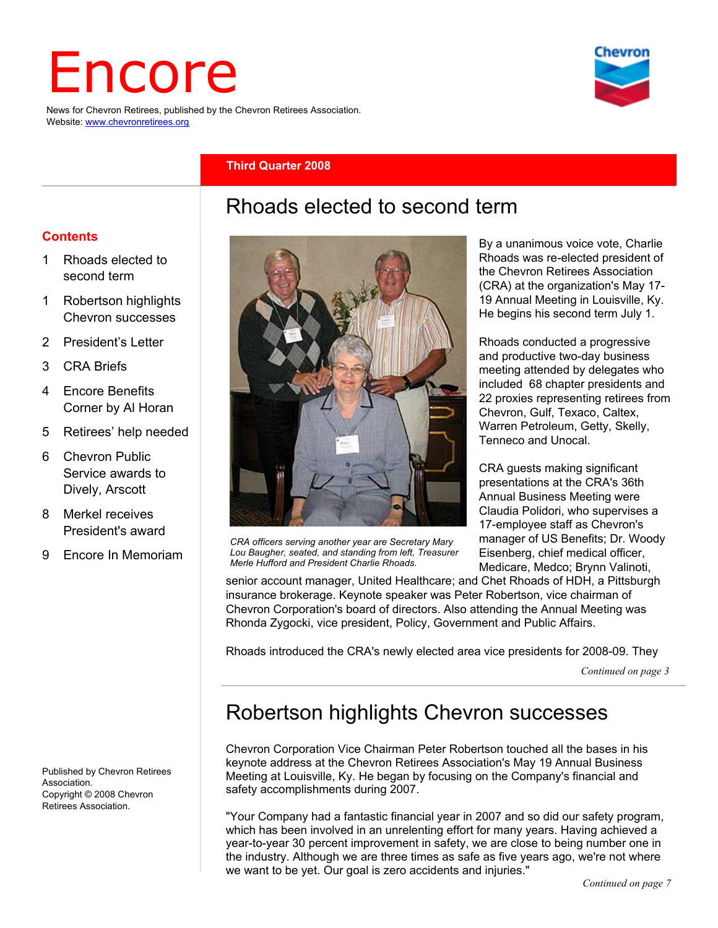# Encore

News for Chevron Retirees, published by the Chevron Retirees Association. Website: www.chevronretirees.org



#### **Third Quarter 2008**

## Rhoads elected to second term

#### **Contents**

- 1 Rhoads elected to second term
- 1 Robertson highlights Chevron successes
- 2 President's Letter
- 3 CRA Briefs
- 4 Encore Benefits Corner by Al Horan
- 5 Retirees' help needed
- 6 Chevron Public Service awards to Dively, Arscott
- 8 Merkel receives President's award
- 9 Encore In Memoriam

Published by Chevron Retirees Association. Copyright © 2008 Chevron Retirees Association.



*CRA officers serving another year are Secretary Mary Lou Baugher, seated, and standing from left, Treasurer Merle Hufford and President Charlie Rhoads.* 

By a unanimous voice vote, Charlie Rhoads was re-elected president of the Chevron Retirees Association (CRA) at the organization's May 17- 19 Annual Meeting in Louisville, Ky. He begins his second term July 1.

Rhoads conducted a progressive and productive two-day business meeting attended by delegates who included 68 chapter presidents and 22 proxies representing retirees from Chevron, Gulf, Texaco, Caltex, Warren Petroleum, Getty, Skelly, Tenneco and Unocal.

CRA guests making significant presentations at the CRA's 36th Annual Business Meeting were Claudia Polidori, who supervises a 17-employee staff as Chevron's manager of US Benefits; Dr. Woody Eisenberg, chief medical officer, Medicare, Medco; Brynn Valinoti,

senior account manager, United Healthcare; and Chet Rhoads of HDH, a Pittsburgh insurance brokerage. Keynote speaker was Peter Robertson, vice chairman of Chevron Corporation's board of directors. Also attending the Annual Meeting was Rhonda Zygocki, vice president, Policy, Government and Public Affairs.

Rhoads introduced the CRA's newly elected area vice presidents for 2008-09. They

*Continued on page 3*

# Robertson highlights Chevron successes

Chevron Corporation Vice Chairman Peter Robertson touched all the bases in his keynote address at the Chevron Retirees Association's May 19 Annual Business Meeting at Louisville, Ky. He began by focusing on the Company's financial and safety accomplishments during 2007.

"Your Company had a fantastic financial year in 2007 and so did our safety program, which has been involved in an unrelenting effort for many years. Having achieved a year-to-year 30 percent improvement in safety, we are close to being number one in the industry. Although we are three times as safe as five years ago, we're not where we want to be yet. Our goal is zero accidents and injuries."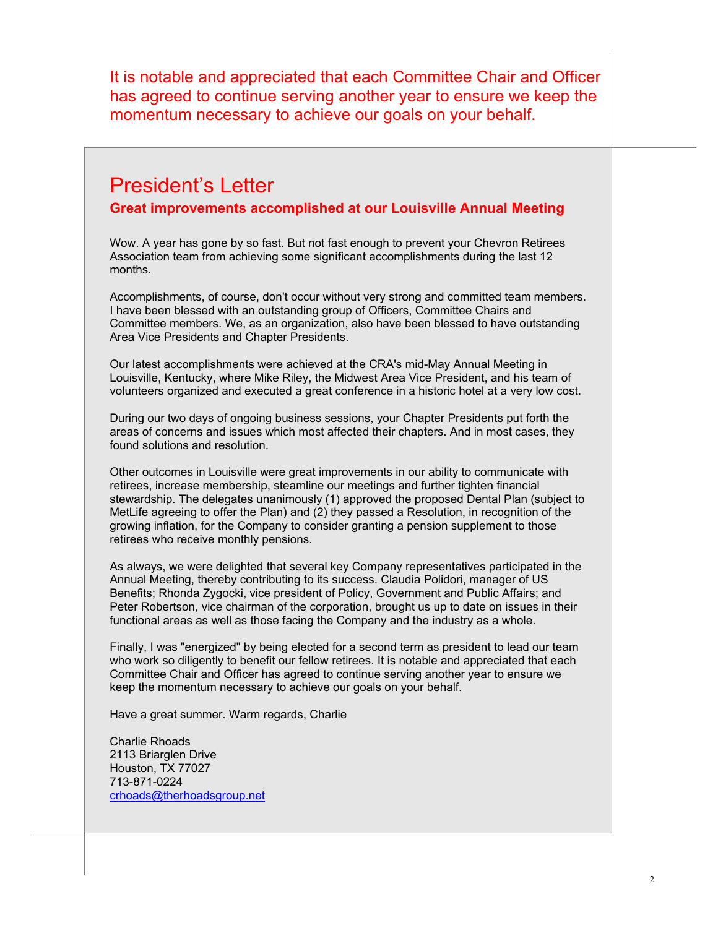It is notable and appreciated that each Committee Chair and Officer has agreed to continue serving another year to ensure we keep the momentum necessary to achieve our goals on your behalf.

## President's Letter

#### **Great improvements accomplished at our Louisville Annual Meeting**

Wow. A year has gone by so fast. But not fast enough to prevent your Chevron Retirees Association team from achieving some significant accomplishments during the last 12 months.

Accomplishments, of course, don't occur without very strong and committed team members. I have been blessed with an outstanding group of Officers, Committee Chairs and Committee members. We, as an organization, also have been blessed to have outstanding Area Vice Presidents and Chapter Presidents.

Our latest accomplishments were achieved at the CRA's mid-May Annual Meeting in Louisville, Kentucky, where Mike Riley, the Midwest Area Vice President, and his team of volunteers organized and executed a great conference in a historic hotel at a very low cost.

During our two days of ongoing business sessions, your Chapter Presidents put forth the areas of concerns and issues which most affected their chapters. And in most cases, they found solutions and resolution.

Other outcomes in Louisville were great improvements in our ability to communicate with retirees, increase membership, steamline our meetings and further tighten financial stewardship. The delegates unanimously (1) approved the proposed Dental Plan (subject to MetLife agreeing to offer the Plan) and (2) they passed a Resolution, in recognition of the growing inflation, for the Company to consider granting a pension supplement to those retirees who receive monthly pensions.

As always, we were delighted that several key Company representatives participated in the Annual Meeting, thereby contributing to its success. Claudia Polidori, manager of US Benefits; Rhonda Zygocki, vice president of Policy, Government and Public Affairs; and Peter Robertson, vice chairman of the corporation, brought us up to date on issues in their functional areas as well as those facing the Company and the industry as a whole.

Finally, I was "energized" by being elected for a second term as president to lead our team who work so diligently to benefit our fellow retirees. It is notable and appreciated that each Committee Chair and Officer has agreed to continue serving another year to ensure we keep the momentum necessary to achieve our goals on your behalf.

Have a great summer. Warm regards, Charlie

Charlie Rhoads 2113 Briarglen Drive Houston, TX 77027 713-871-0224 crhoads@therhoadsgroup.net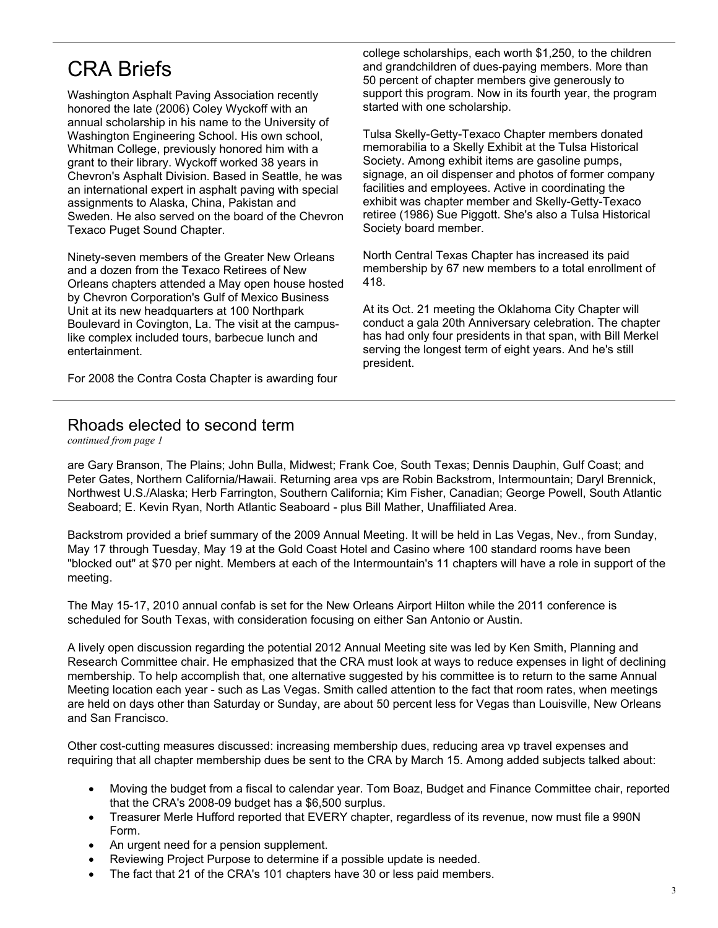## CRA Briefs

Washington Asphalt Paving Association recently honored the late (2006) Coley Wyckoff with an annual scholarship in his name to the University of Washington Engineering School. His own school, Whitman College, previously honored him with a grant to their library. Wyckoff worked 38 years in Chevron's Asphalt Division. Based in Seattle, he was an international expert in asphalt paving with special assignments to Alaska, China, Pakistan and Sweden. He also served on the board of the Chevron Texaco Puget Sound Chapter.

Ninety-seven members of the Greater New Orleans and a dozen from the Texaco Retirees of New Orleans chapters attended a May open house hosted by Chevron Corporation's Gulf of Mexico Business Unit at its new headquarters at 100 Northpark Boulevard in Covington, La. The visit at the campuslike complex included tours, barbecue lunch and entertainment.

For 2008 the Contra Costa Chapter is awarding four

college scholarships, each worth \$1,250, to the children and grandchildren of dues-paying members. More than 50 percent of chapter members give generously to support this program. Now in its fourth year, the program started with one scholarship.

Tulsa Skelly-Getty-Texaco Chapter members donated memorabilia to a Skelly Exhibit at the Tulsa Historical Society. Among exhibit items are gasoline pumps. signage, an oil dispenser and photos of former company facilities and employees. Active in coordinating the exhibit was chapter member and Skelly-Getty-Texaco retiree (1986) Sue Piggott. She's also a Tulsa Historical Society board member.

North Central Texas Chapter has increased its paid membership by 67 new members to a total enrollment of 418.

At its Oct. 21 meeting the Oklahoma City Chapter will conduct a gala 20th Anniversary celebration. The chapter has had only four presidents in that span, with Bill Merkel serving the longest term of eight years. And he's still president.

#### Rhoads elected to second term

*continued from page 1*

are Gary Branson, The Plains; John Bulla, Midwest; Frank Coe, South Texas; Dennis Dauphin, Gulf Coast; and Peter Gates, Northern California/Hawaii. Returning area vps are Robin Backstrom, Intermountain; Daryl Brennick, Northwest U.S./Alaska; Herb Farrington, Southern California; Kim Fisher, Canadian; George Powell, South Atlantic Seaboard; E. Kevin Ryan, North Atlantic Seaboard - plus Bill Mather, Unaffiliated Area.

Backstrom provided a brief summary of the 2009 Annual Meeting. It will be held in Las Vegas, Nev., from Sunday, May 17 through Tuesday, May 19 at the Gold Coast Hotel and Casino where 100 standard rooms have been "blocked out" at \$70 per night. Members at each of the Intermountain's 11 chapters will have a role in support of the meeting.

The May 15-17, 2010 annual confab is set for the New Orleans Airport Hilton while the 2011 conference is scheduled for South Texas, with consideration focusing on either San Antonio or Austin.

A lively open discussion regarding the potential 2012 Annual Meeting site was led by Ken Smith, Planning and Research Committee chair. He emphasized that the CRA must look at ways to reduce expenses in light of declining membership. To help accomplish that, one alternative suggested by his committee is to return to the same Annual Meeting location each year - such as Las Vegas. Smith called attention to the fact that room rates, when meetings are held on days other than Saturday or Sunday, are about 50 percent less for Vegas than Louisville, New Orleans and San Francisco.

Other cost-cutting measures discussed: increasing membership dues, reducing area vp travel expenses and requiring that all chapter membership dues be sent to the CRA by March 15. Among added subjects talked about:

- Moving the budget from a fiscal to calendar year. Tom Boaz, Budget and Finance Committee chair, reported that the CRA's 2008-09 budget has a \$6,500 surplus.
- Treasurer Merle Hufford reported that EVERY chapter, regardless of its revenue, now must file a 990N Form.
- An urgent need for a pension supplement.
- Reviewing Project Purpose to determine if a possible update is needed.
- The fact that 21 of the CRA's 101 chapters have 30 or less paid members.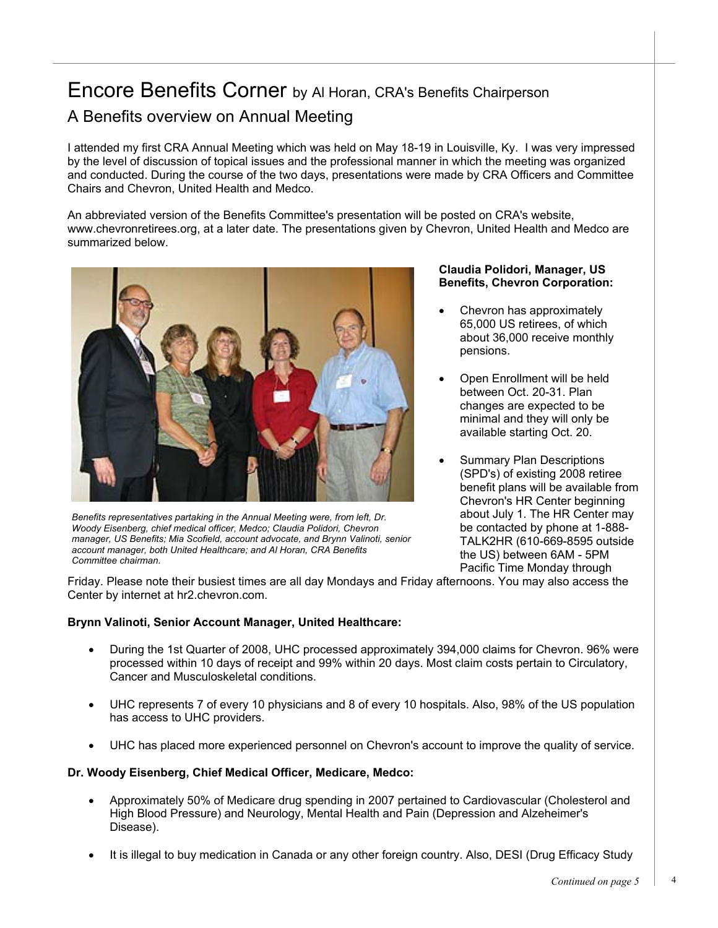## Encore Benefits Corner by Al Horan, CRA's Benefits Chairperson A Benefits overview on Annual Meeting

I attended my first CRA Annual Meeting which was held on May 18-19 in Louisville, Ky. I was very impressed by the level of discussion of topical issues and the professional manner in which the meeting was organized and conducted. During the course of the two days, presentations were made by CRA Officers and Committee Chairs and Chevron, United Health and Medco.

An abbreviated version of the Benefits Committee's presentation will be posted on CRA's website, www.chevronretirees.org, at a later date. The presentations given by Chevron, United Health and Medco are summarized below.



*Benefits representatives partaking in the Annual Meeting were, from left, Dr. Woody Eisenberg, chief medical officer, Medco; Claudia Polidori, Chevron manager, US Benefits; Mia Scofield, account advocate, and Brynn Valinoti, senior account manager, both United Healthcare; and Al Horan, CRA Benefits Committee chairman.* 

#### **Claudia Polidori, Manager, US Benefits, Chevron Corporation:**

- Chevron has approximately 65,000 US retirees, of which about 36,000 receive monthly pensions.
- Open Enrollment will be held between Oct. 20-31. Plan changes are expected to be minimal and they will only be available starting Oct. 20.
- Summary Plan Descriptions (SPD's) of existing 2008 retiree benefit plans will be available from Chevron's HR Center beginning about July 1. The HR Center may be contacted by phone at 1-888- TALK2HR (610-669-8595 outside the US) between 6AM - 5PM Pacific Time Monday through

Friday. Please note their busiest times are all day Mondays and Friday afternoons. You may also access the Center by internet at hr2.chevron.com.

#### **Brynn Valinoti, Senior Account Manager, United Healthcare:**

- During the 1st Quarter of 2008, UHC processed approximately 394,000 claims for Chevron. 96% were processed within 10 days of receipt and 99% within 20 days. Most claim costs pertain to Circulatory, Cancer and Musculoskeletal conditions.
- UHC represents 7 of every 10 physicians and 8 of every 10 hospitals. Also, 98% of the US population has access to UHC providers.
- UHC has placed more experienced personnel on Chevron's account to improve the quality of service.

#### **Dr. Woody Eisenberg, Chief Medical Officer, Medicare, Medco:**

- Approximately 50% of Medicare drug spending in 2007 pertained to Cardiovascular (Cholesterol and High Blood Pressure) and Neurology, Mental Health and Pain (Depression and Alzeheimer's Disease).
- It is illegal to buy medication in Canada or any other foreign country. Also, DESI (Drug Efficacy Study

4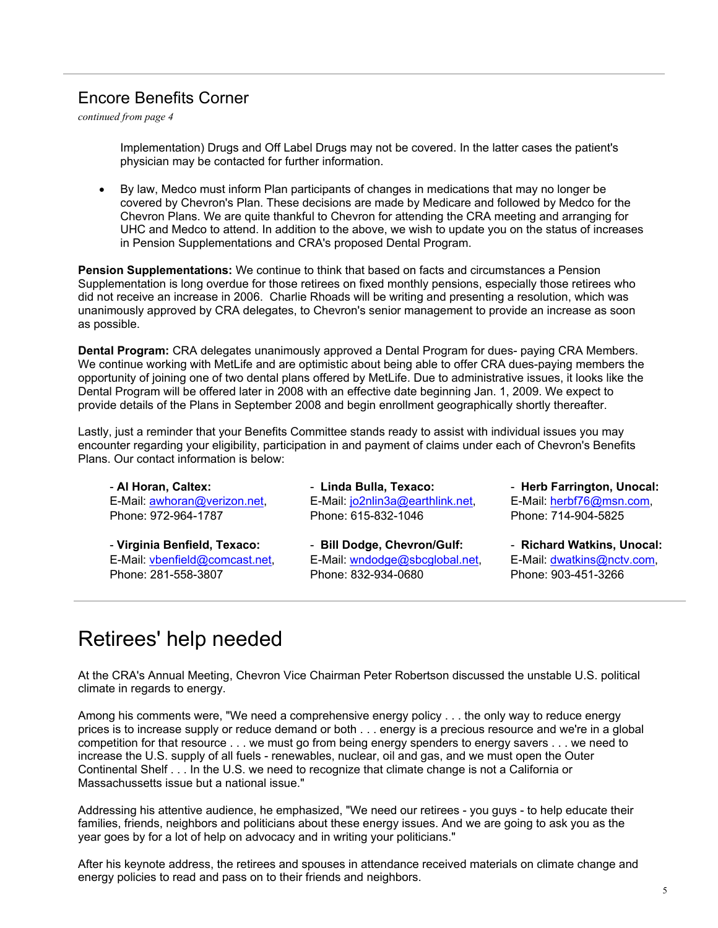## Encore Benefits Corner

*continued from page 4*

Implementation) Drugs and Off Label Drugs may not be covered. In the latter cases the patient's physician may be contacted for further information.

• By law, Medco must inform Plan participants of changes in medications that may no longer be covered by Chevron's Plan. These decisions are made by Medicare and followed by Medco for the Chevron Plans. We are quite thankful to Chevron for attending the CRA meeting and arranging for UHC and Medco to attend. In addition to the above, we wish to update you on the status of increases in Pension Supplementations and CRA's proposed Dental Program.

**Pension Supplementations:** We continue to think that based on facts and circumstances a Pension Supplementation is long overdue for those retirees on fixed monthly pensions, especially those retirees who did not receive an increase in 2006. Charlie Rhoads will be writing and presenting a resolution, which was unanimously approved by CRA delegates, to Chevron's senior management to provide an increase as soon as possible.

**Dental Program:** CRA delegates unanimously approved a Dental Program for dues- paying CRA Members. We continue working with MetLife and are optimistic about being able to offer CRA dues-paying members the opportunity of joining one of two dental plans offered by MetLife. Due to administrative issues, it looks like the Dental Program will be offered later in 2008 with an effective date beginning Jan. 1, 2009. We expect to provide details of the Plans in September 2008 and begin enrollment geographically shortly thereafter.

Lastly, just a reminder that your Benefits Committee stands ready to assist with individual issues you may encounter regarding your eligibility, participation in and payment of claims under each of Chevron's Benefits Plans. Our contact information is below:

- **Al Horan, Caltex:** E-Mail: awhoran@verizon.net, Phone: 972-964-1787

- **Virginia Benfield, Texaco:** E-Mail: vbenfield@comcast.net, Phone: 281-558-3807

- **Linda Bulla, Texaco:** E-Mail: jo2nlin3a@earthlink.net, Phone: 615-832-1046

- **Bill Dodge, Chevron/Gulf:**  E-Mail: wndodge@sbcglobal.net, Phone: 832-934-0680

- **Herb Farrington, Unocal:** E-Mail: herbf76@msn.com, Phone: 714-904-5825

- **Richard Watkins, Unocal:** E-Mail: dwatkins@nctv.com, Phone: 903-451-3266

# Retirees' help needed

At the CRA's Annual Meeting, Chevron Vice Chairman Peter Robertson discussed the unstable U.S. political climate in regards to energy.

Among his comments were, "We need a comprehensive energy policy . . . the only way to reduce energy prices is to increase supply or reduce demand or both . . . energy is a precious resource and we're in a global competition for that resource . . . we must go from being energy spenders to energy savers . . . we need to increase the U.S. supply of all fuels - renewables, nuclear, oil and gas, and we must open the Outer Continental Shelf . . . In the U.S. we need to recognize that climate change is not a California or Massachussetts issue but a national issue."

Addressing his attentive audience, he emphasized, "We need our retirees - you guys - to help educate their families, friends, neighbors and politicians about these energy issues. And we are going to ask you as the year goes by for a lot of help on advocacy and in writing your politicians."

energy policies to read and pass on to their friends and neighbors. After his keynote address, the retirees and spouses in attendance received materials on climate change and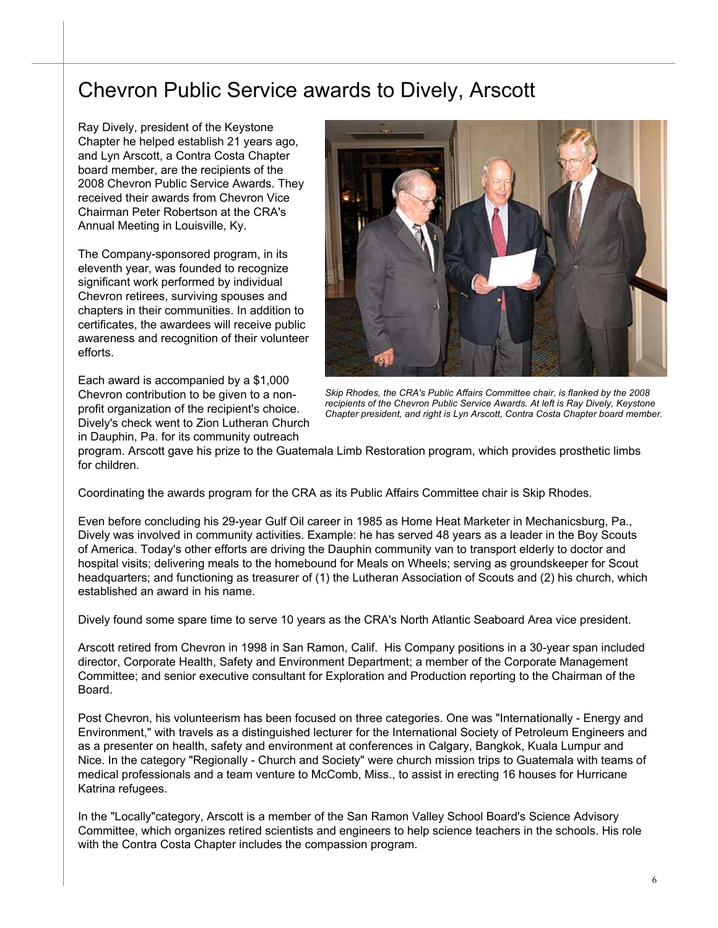## Chevron Public Service awards to Dively, Arscott

Ray Dively, president of the Keystone Chapter he helped establish 21 years ago, and Lyn Arscott, a Contra Costa Chapter board member, are the recipients of the 2008 Chevron Public Service Awards. They received their awards from Chevron Vice Chairman Peter Robertson at the CRA's Annual Meeting in Louisville, Ky.

The Company-sponsored program, in its eleventh year, was founded to recognize significant work performed by individual Chevron retirees, surviving spouses and chapters in their communities. In addition to certificates, the awardees will receive public awareness and recognition of their volunteer efforts.

Each award is accompanied by a \$1,000 Chevron contribution to be given to a nonprofit organization of the recipient's choice. Dively's check went to Zion Lutheran Church in Dauphin, Pa. for its community outreach



*Skip Rhodes, the CRA's Public Affairs Committee chair, is flanked by the 2008*  recipients of the Chevron Public Service Awards. At left is Ray Dively, Keystone *Chapter president, and right is Lyn Arscott, Contra Costa Chapter board member.* 

program. Arscott gave his prize to the Guatemala Limb Restoration program, which provides prosthetic limbs for children.

Coordinating the awards program for the CRA as its Public Affairs Committee chair is Skip Rhodes.

Even before concluding his 29-year Gulf Oil career in 1985 as Home Heat Marketer in Mechanicsburg, Pa., Dively was involved in community activities. Example: he has served 48 years as a leader in the Boy Scouts of America. Today's other efforts are driving the Dauphin community van to transport elderly to doctor and hospital visits; delivering meals to the homebound for Meals on Wheels; serving as groundskeeper for Scout headquarters; and functioning as treasurer of (1) the Lutheran Association of Scouts and (2) his church, which established an award in his name.

Dively found some spare time to serve 10 years as the CRA's North Atlantic Seaboard Area vice president.

Arscott retired from Chevron in 1998 in San Ramon, Calif. His Company positions in a 30-year span included director, Corporate Health, Safety and Environment Department; a member of the Corporate Management Committee; and senior executive consultant for Exploration and Production reporting to the Chairman of the Board.

Post Chevron, his volunteerism has been focused on three categories. One was "Internationally - Energy and Environment," with travels as a distinguished lecturer for the International Society of Petroleum Engineers and as a presenter on health, safety and environment at conferences in Calgary, Bangkok, Kuala Lumpur and Nice. In the category "Regionally - Church and Society" were church mission trips to Guatemala with teams of medical professionals and a team venture to McComb, Miss., to assist in erecting 16 houses for Hurricane Katrina refugees.

In the "Locally"category, Arscott is a member of the San Ramon Valley School Board's Science Advisory Committee, which organizes retired scientists and engineers to help science teachers in the schools. His role with the Contra Costa Chapter includes the compassion program.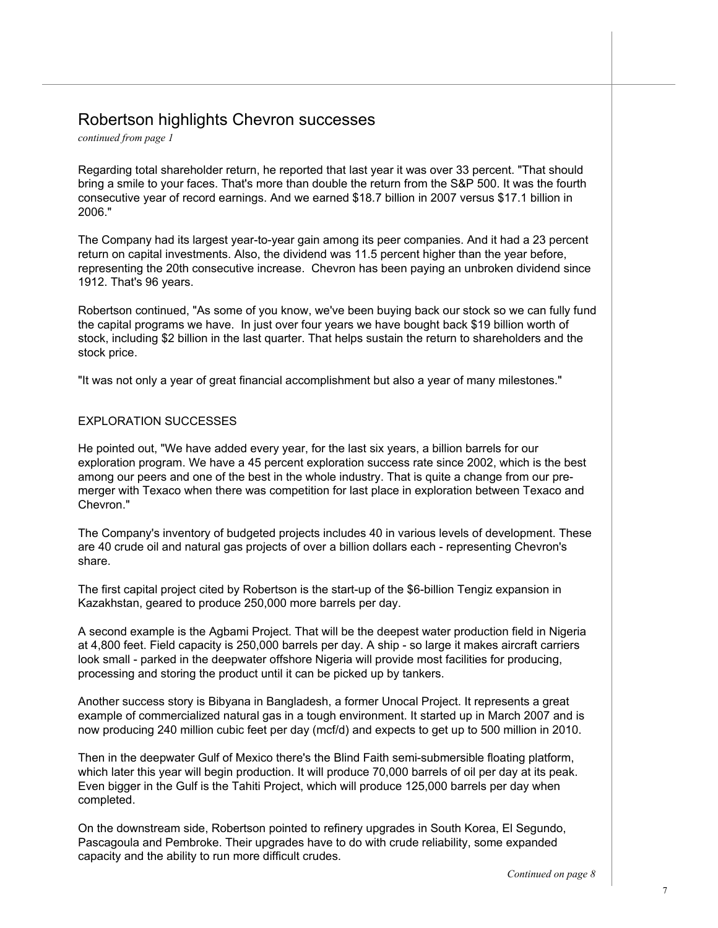### Robertson highlights Chevron successes

*continued from page 1*

Regarding total shareholder return, he reported that last year it was over 33 percent. "That should bring a smile to your faces. That's more than double the return from the S&P 500. It was the fourth consecutive year of record earnings. And we earned \$18.7 billion in 2007 versus \$17.1 billion in 2006."

The Company had its largest year-to-year gain among its peer companies. And it had a 23 percent return on capital investments. Also, the dividend was 11.5 percent higher than the year before, representing the 20th consecutive increase. Chevron has been paying an unbroken dividend since 1912. That's 96 years.

Robertson continued, "As some of you know, we've been buying back our stock so we can fully fund the capital programs we have. In just over four years we have bought back \$19 billion worth of stock, including \$2 billion in the last quarter. That helps sustain the return to shareholders and the stock price.

"It was not only a year of great financial accomplishment but also a year of many milestones."

#### EXPLORATION SUCCESSES

He pointed out, "We have added every year, for the last six years, a billion barrels for our exploration program. We have a 45 percent exploration success rate since 2002, which is the best among our peers and one of the best in the whole industry. That is quite a change from our premerger with Texaco when there was competition for last place in exploration between Texaco and Chevron."

The Company's inventory of budgeted projects includes 40 in various levels of development. These are 40 crude oil and natural gas projects of over a billion dollars each - representing Chevron's share.

The first capital project cited by Robertson is the start-up of the \$6-billion Tengiz expansion in Kazakhstan, geared to produce 250,000 more barrels per day.

A second example is the Agbami Project. That will be the deepest water production field in Nigeria at 4,800 feet. Field capacity is 250,000 barrels per day. A ship - so large it makes aircraft carriers look small - parked in the deepwater offshore Nigeria will provide most facilities for producing, processing and storing the product until it can be picked up by tankers.

Another success story is Bibyana in Bangladesh, a former Unocal Project. It represents a great example of commercialized natural gas in a tough environment. It started up in March 2007 and is now producing 240 million cubic feet per day (mcf/d) and expects to get up to 500 million in 2010.

Then in the deepwater Gulf of Mexico there's the Blind Faith semi-submersible floating platform, which later this year will begin production. It will produce 70,000 barrels of oil per day at its peak. Even bigger in the Gulf is the Tahiti Project, which will produce 125,000 barrels per day when completed.

On the downstream side, Robertson pointed to refinery upgrades in South Korea, El Segundo, Pascagoula and Pembroke. Their upgrades have to do with crude reliability, some expanded capacity and the ability to run more difficult crudes.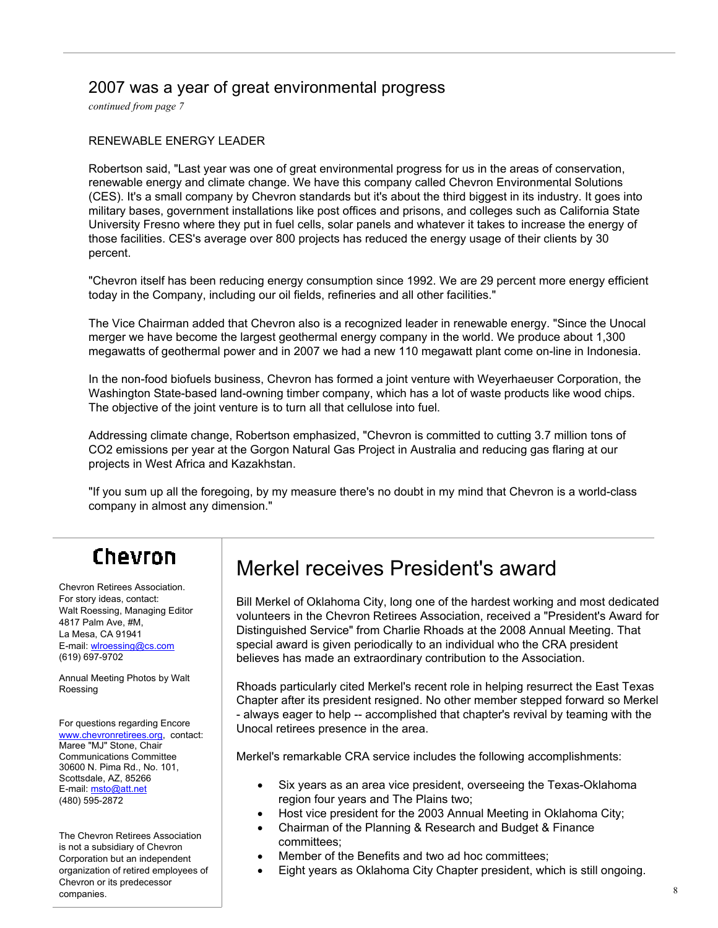## 2007 was a year of great environmental progress

*continued from page 7*

#### RENEWABLE ENERGY LEADER

Robertson said, "Last year was one of great environmental progress for us in the areas of conservation, renewable energy and climate change. We have this company called Chevron Environmental Solutions (CES). It's a small company by Chevron standards but it's about the third biggest in its industry. It goes into military bases, government installations like post offices and prisons, and colleges such as California State University Fresno where they put in fuel cells, solar panels and whatever it takes to increase the energy of those facilities. CES's average over 800 projects has reduced the energy usage of their clients by 30 percent.

"Chevron itself has been reducing energy consumption since 1992. We are 29 percent more energy efficient today in the Company, including our oil fields, refineries and all other facilities."

The Vice Chairman added that Chevron also is a recognized leader in renewable energy. "Since the Unocal merger we have become the largest geothermal energy company in the world. We produce about 1,300 megawatts of geothermal power and in 2007 we had a new 110 megawatt plant come on-line in Indonesia.

In the non-food biofuels business, Chevron has formed a joint venture with Weyerhaeuser Corporation, the Washington State-based land-owning timber company, which has a lot of waste products like wood chips. The objective of the joint venture is to turn all that cellulose into fuel.

Addressing climate change, Robertson emphasized, "Chevron is committed to cutting 3.7 million tons of CO2 emissions per year at the Gorgon Natural Gas Project in Australia and reducing gas flaring at our projects in West Africa and Kazakhstan.

"If you sum up all the foregoing, by my measure there's no doubt in my mind that Chevron is a world-class company in almost any dimension."

# Chevron

Chevron Retirees Association. For story ideas, contact: Walt Roessing, Managing Editor 4817 Palm Ave, #M, La Mesa, CA 91941 E-mail: wlroessing@cs.com (619) 697-9702

Annual Meeting Photos by Walt Roessing

For questions regarding Encore www.chevronretirees.org, contact: Maree "MJ" Stone, Chair Communications Committee 30600 N. Pima Rd., No. 101, Scottsdale, AZ, 85266 E-mail: msto@att.net (480) 595-2872

The Chevron Retirees Association is not a subsidiary of Chevron Corporation but an independent organization of retired employees of Chevron or its predecessor companies.

# Merkel receives President's award

Bill Merkel of Oklahoma City, long one of the hardest working and most dedicated volunteers in the Chevron Retirees Association, received a "President's Award for Distinguished Service" from Charlie Rhoads at the 2008 Annual Meeting. That special award is given periodically to an individual who the CRA president believes has made an extraordinary contribution to the Association.

Rhoads particularly cited Merkel's recent role in helping resurrect the East Texas Chapter after its president resigned. No other member stepped forward so Merkel - always eager to help -- accomplished that chapter's revival by teaming with the Unocal retirees presence in the area.

Merkel's remarkable CRA service includes the following accomplishments:

- Six years as an area vice president, overseeing the Texas-Oklahoma region four years and The Plains two;
- Host vice president for the 2003 Annual Meeting in Oklahoma City;
- Chairman of the Planning & Research and Budget & Finance committees;
- Member of the Benefits and two ad hoc committees;
- Eight years as Oklahoma City Chapter president, which is still ongoing.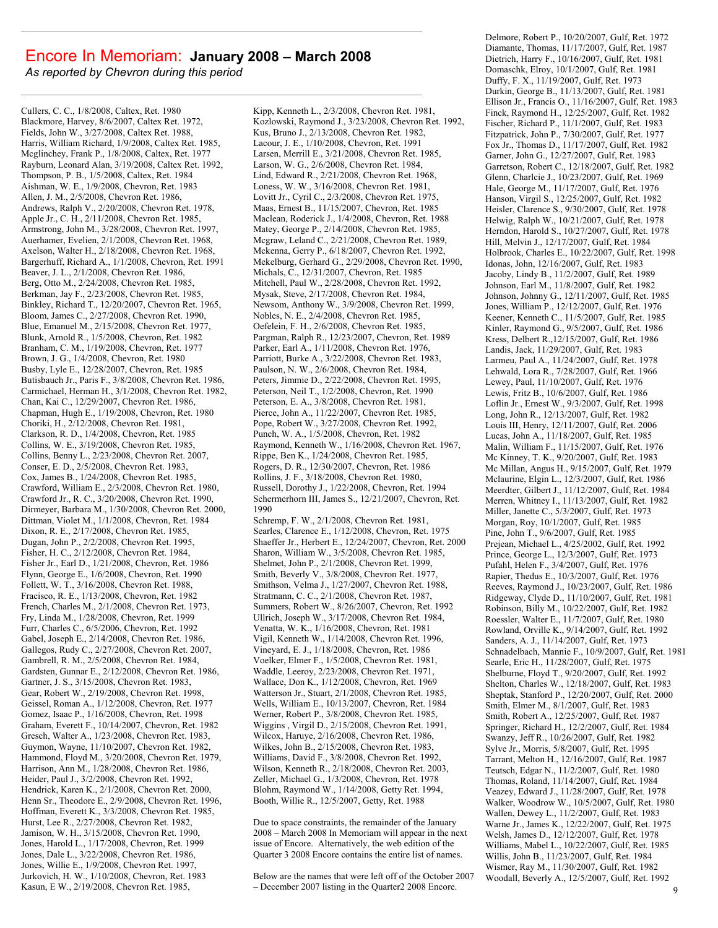#### Encore In Memoriam: **January 2008 – March 2008**

*As reported by Chevron during this period*

Cullers, C. C., 1/8/2008, Caltex, Ret. 1980 Blackmore, Harvey, 8/6/2007, Caltex Ret. 1972, Fields, John W., 3/27/2008, Caltex Ret. 1988, Harris, William Richard, 1/9/2008, Caltex Ret. 1985, Mcglinchey, Frank P., 1/8/2008, Caltex, Ret. 1977 Rayburn, Leonard Alan, 3/19/2008, Caltex Ret. 1992, Thompson, P. B., 1/5/2008, Caltex, Ret. 1984 Aishman, W. E., 1/9/2008, Chevron, Ret. 1983 Allen, J. M., 2/5/2008, Chevron Ret. 1986, Andrews, Ralph V., 2/20/2008, Chevron Ret. 1978, Apple Jr., C. H., 2/11/2008, Chevron Ret. 1985, Armstrong, John M., 3/28/2008, Chevron Ret. 1997, Auerhamer, Evelien, 2/1/2008, Chevron Ret. 1968, Axelson, Walter H., 2/18/2008, Chevron Ret. 1968, Bargerhuff, Richard A., 1/1/2008, Chevron, Ret. 1991 Beaver, J. L., 2/1/2008, Chevron Ret. 1986, Berg, Otto M., 2/24/2008, Chevron Ret. 1985, Berkman, Jay F., 2/23/2008, Chevron Ret. 1985, Binkley, Richard T., 12/20/2007, Chevron Ret. 1965, Bloom, James C., 2/27/2008, Chevron Ret. 1990, Blue, Emanuel M., 2/15/2008, Chevron Ret. 1977, Blunk, Arnold R., 1/5/2008, Chevron, Ret. 1982 Branham, C. M., 1/19/2008, Chevron, Ret. 1977 Brown, J. G., 1/4/2008, Chevron, Ret. 1980 Busby, Lyle E., 12/28/2007, Chevron, Ret. 1985 Butisbauch Jr., Paris F., 3/8/2008, Chevron Ret. 1986, Carmichael, Herman H., 3/1/2008, Chevron Ret. 1982, Chan, Kai C., 12/29/2007, Chevron Ret. 1986, Chapman, Hugh E., 1/19/2008, Chevron, Ret. 1980 Choriki, H., 2/12/2008, Chevron Ret. 1981, Clarkson, R. D., 1/4/2008, Chevron, Ret. 1985 Collins, W. E., 3/19/2008, Chevron Ret. 1985, Collins, Benny L., 2/23/2008, Chevron Ret. 2007, Conser, E. D., 2/5/2008, Chevron Ret. 1983, Cox, James B., 1/24/2008, Chevron Ret. 1985, Crawford, William E., 2/3/2008, Chevron Ret. 1980, Crawford Jr., R. C., 3/20/2008, Chevron Ret. 1990, Dirmeyer, Barbara M., 1/30/2008, Chevron Ret. 2000, Dittman, Violet M., 1/1/2008, Chevron, Ret. 1984 Dixon, R. E., 2/17/2008, Chevron Ret. 1985, Dugan, John P., 2/2/2008, Chevron Ret. 1995, Fisher, H. C., 2/12/2008, Chevron Ret. 1984, Fisher Jr., Earl D., 1/21/2008, Chevron, Ret. 1986 Flynn, George E., 1/6/2008, Chevron, Ret. 1990 Follett, W. T., 3/16/2008, Chevron Ret. 1988, Fracisco, R. E., 1/13/2008, Chevron, Ret. 1982 French, Charles M., 2/1/2008, Chevron Ret. 1973, Fry, Linda M., 1/28/2008, Chevron, Ret. 1999 Furr, Charles C., 6/5/2006, Chevron, Ret. 1992 Gabel, Joseph E., 2/14/2008, Chevron Ret. 1986, Gallegos, Rudy C., 2/27/2008, Chevron Ret. 2007, Gambrell, R. M., 2/5/2008, Chevron Ret. 1984, Gardsten, Gunnar E., 2/12/2008, Chevron Ret. 1986, Gartner, J. S., 3/15/2008, Chevron Ret. 1983, Gear, Robert W., 2/19/2008, Chevron Ret. 1998, Geissel, Roman A., 1/12/2008, Chevron, Ret. 1977 Gomez, Isaac P., 1/16/2008, Chevron, Ret. 1998 Graham, Everett F., 10/14/2007, Chevron, Ret. 1982 Gresch, Walter A., 1/23/2008, Chevron Ret. 1983, Guymon, Wayne, 11/10/2007, Chevron Ret. 1982, Hammond, Floyd M., 3/20/2008, Chevron Ret. 1979, Harrison, Ann M., 1/28/2008, Chevron Ret. 1986, Heider, Paul J., 3/2/2008, Chevron Ret. 1992, Hendrick, Karen K., 2/1/2008, Chevron Ret. 2000, Henn Sr., Theodore E., 2/9/2008, Chevron Ret. 1996, Hoffman, Everett K., 3/3/2008, Chevron Ret. 1985, Hurst, Lee R., 2/27/2008, Chevron Ret. 1982, Jamison, W. H., 3/15/2008, Chevron Ret. 1990, Jones, Harold L., 1/17/2008, Chevron, Ret. 1999 Jones, Dale L., 3/22/2008, Chevron Ret. 1986, Jones, Willie E., 1/9/2008, Chevron Ret. 1997, Jurkovich, H. W., 1/10/2008, Chevron, Ret. 1983 Kasun, E W., 2/19/2008, Chevron Ret. 1985,

Kipp, Kenneth L., 2/3/2008, Chevron Ret. 1981, Kozlowski, Raymond J., 3/23/2008, Chevron Ret. 1992, Kus, Bruno J., 2/13/2008, Chevron Ret. 1982, Lacour, J. E., 1/10/2008, Chevron, Ret. 1991 Larsen, Merrill E., 3/21/2008, Chevron Ret. 1985, Larson, W. G., 2/6/2008, Chevron Ret. 1984, Lind, Edward R., 2/21/2008, Chevron Ret. 1968, Loness, W. W., 3/16/2008, Chevron Ret. 1981, Lovitt Jr., Cyril C., 2/3/2008, Chevron Ret. 1975, Maas, Ernest B., 11/15/2007, Chevron, Ret. 1985 Maclean, Roderick J., 1/4/2008, Chevron, Ret. 1988 Matey, George P., 2/14/2008, Chevron Ret. 1985, Mcgraw, Leland C., 2/21/2008, Chevron Ret. 1989, Mckenna, Gerry P., 6/18/2007, Chevron Ret. 1992, Mekelburg, Gerhard G., 2/29/2008, Chevron Ret. 1990, Michals, C., 12/31/2007, Chevron, Ret. 1985 Mitchell, Paul W., 2/28/2008, Chevron Ret. 1992, Mysak, Steve, 2/17/2008, Chevron Ret. 1984, Newsom, Anthony W., 3/9/2008, Chevron Ret. 1999, Nobles, N. E., 2/4/2008, Chevron Ret. 1985, Oefelein, F. H., 2/6/2008, Chevron Ret. 1985, Pargman, Ralph R., 12/23/2007, Chevron, Ret. 1989 Parker, Earl A., 1/11/2008, Chevron Ret. 1976, Parriott, Burke A., 3/22/2008, Chevron Ret. 1983, Paulson, N. W., 2/6/2008, Chevron Ret. 1984, Peters, Jimmie D., 2/22/2008, Chevron Ret. 1995, Peterson, Neil T., 1/2/2008, Chevron, Ret. 1990 Peterson, E. A., 3/8/2008, Chevron Ret. 1981, Pierce, John A., 11/22/2007, Chevron Ret. 1985, Pope, Robert W., 3/27/2008, Chevron Ret. 1992, Punch, W. A., 1/5/2008, Chevron, Ret. 1982 Raymond, Kenneth W., 1/16/2008, Chevron Ret. 1967, Rippe, Ben K., 1/24/2008, Chevron Ret. 1985, Rogers, D. R., 12/30/2007, Chevron, Ret. 1986 Rollins, J. F., 3/18/2008, Chevron Ret. 1980, Russell, Dorothy J., 1/22/2008, Chevron, Ret. 1994 Schermerhorn III, James S., 12/21/2007, Chevron, Ret. 1990

Schremp, F. W., 2/1/2008, Chevron Ret. 1981, Searles, Clarence E., 1/12/2008, Chevron, Ret. 1975 Shaeffer Jr., Herbert E., 12/24/2007, Chevron, Ret. 2000 Sharon, William W., 3/5/2008, Chevron Ret. 1985, Shelmet, John P., 2/1/2008, Chevron Ret. 1999, Smith, Beverly V., 3/8/2008, Chevron Ret. 1977, Smithson, Velma J., 1/27/2007, Chevron Ret. 1988, Stratmann, C. C., 2/1/2008, Chevron Ret. 1987, Summers, Robert W., 8/26/2007, Chevron, Ret. 1992 Ullrich, Joseph W., 3/17/2008, Chevron Ret. 1984, Venatta, W. K., 1/16/2008, Chevron, Ret. 1981 Vigil, Kenneth W., 1/14/2008, Chevron Ret. 1996, Vineyard, E. J., 1/18/2008, Chevron, Ret. 1986 Voelker, Elmer F., 1/5/2008, Chevron Ret. 1981, Waddle, Leeroy, 2/23/2008, Chevron Ret. 1971, Wallace, Don K., 1/12/2008, Chevron, Ret. 1969 Watterson Jr., Stuart, 2/1/2008, Chevron Ret. 1985, Wells, William E., 10/13/2007, Chevron, Ret. 1984 Werner, Robert P., 3/8/2008, Chevron Ret. 1985, Wiggins , Virgil D., 2/15/2008, Chevron Ret. 1991, Wilcox, Haruye, 2/16/2008, Chevron Ret. 1986, Wilkes, John B., 2/15/2008, Chevron Ret. 1983, Williams, David F., 3/8/2008, Chevron Ret. 1992, Wilson, Kenneth R., 2/18/2008, Chevron Ret. 2003, Zeller, Michael G., 1/3/2008, Chevron, Ret. 1978 Blohm, Raymond W., 1/14/2008, Getty Ret. 1994, Booth, Willie R., 12/5/2007, Getty, Ret. 1988

Due to space constraints, the remainder of the January 2008 – March 2008 In Memoriam will appear in the next issue of Encore. Alternatively, the web edition of the Quarter 3 2008 Encore contains the entire list of names.

Below are the names that were left off of the October 2007 – December 2007 listing in the Quarter2 2008 Encore.

Delmore, Robert P., 10/20/2007, Gulf, Ret. 1972 Diamante, Thomas, 11/17/2007, Gulf, Ret. 1987 Dietrich, Harry F., 10/16/2007, Gulf, Ret. 1981 Domaschk, Elroy, 10/1/2007, Gulf, Ret. 1981 Duffy, F. X., 11/19/2007, Gulf, Ret. 1973 Durkin, George B., 11/13/2007, Gulf, Ret. 1981 Ellison Jr., Francis O., 11/16/2007, Gulf, Ret. 1983 Finck, Raymond H., 12/25/2007, Gulf, Ret. 1982 Fischer, Richard P., 11/1/2007, Gulf, Ret. 1983 Fitzpatrick, John P., 7/30/2007, Gulf, Ret. 1977 Fox Jr., Thomas D., 11/17/2007, Gulf, Ret. 1982 Garner, John G., 12/27/2007, Gulf, Ret. 1983 Garretson, Robert C., 12/18/2007, Gulf, Ret. 1982 Glenn, Charlcie J., 10/23/2007, Gulf, Ret. 1969 Hale, George M., 11/17/2007, Gulf, Ret. 1976 Hanson, Virgil S., 12/25/2007, Gulf, Ret. 1982 Heisler, Clarence S., 9/30/2007, Gulf, Ret. 1978 Helwig, Ralph W., 10/21/2007, Gulf, Ret. 1978 Herndon, Harold S., 10/27/2007, Gulf, Ret. 1978 Hill, Melvin J., 12/17/2007, Gulf, Ret. 1984 Holbrook, Charles E., 10/22/2007, Gulf, Ret. 1998 Idonas, John, 12/16/2007, Gulf, Ret. 1983 Jacoby, Lindy B., 11/2/2007, Gulf, Ret. 1989 Johnson, Earl M., 11/8/2007, Gulf, Ret. 1982 Johnson, Johnny G., 12/11/2007, Gulf, Ret. 1985 Jones, William P., 12/12/2007, Gulf, Ret. 1976 Keener, Kenneth C., 11/5/2007, Gulf, Ret. 1985 Kinler, Raymond G., 9/5/2007, Gulf, Ret. 1986 Kress, Delbert R.,12/15/2007, Gulf, Ret. 1986 Landis, Jack, 11/29/2007, Gulf, Ret. 1983 Larmeu, Paul A., 11/24/2007, Gulf, Ret. 1978 Lehwald, Lora R., 7/28/2007, Gulf, Ret. 1966 Lewey, Paul, 11/10/2007, Gulf, Ret. 1976 Lewis, Fritz B., 10/6/2007, Gulf, Ret. 1986 Loflin Jr., Ernest W., 9/3/2007, Gulf, Ret. 1998 Long, John R., 12/13/2007, Gulf, Ret. 1982 Louis III, Henry, 12/11/2007, Gulf, Ret. 2006 Lucas, John A., 11/18/2007, Gulf, Ret. 1985 Malin, William F., 11/15/2007, Gulf, Ret. 1976 Mc Kinney, T. K., 9/20/2007, Gulf, Ret. 1983 Mc Millan, Angus H., 9/15/2007, Gulf, Ret. 1979 Mclaurine, Elgin L., 12/3/2007, Gulf, Ret. 1986 Meerdter, Gilbert J., 11/12/2007, Gulf, Ret. 1984 Merren, Whitney I., 11/13/2007, Gulf, Ret. 1982 Miller, Janette C., 5/3/2007, Gulf, Ret. 1973 Morgan, Roy, 10/1/2007, Gulf, Ret. 1985 Pine, John T., 9/6/2007, Gulf, Ret. 1985 Prejean, Michael L., 4/25/2002, Gulf, Ret. 1992 Prince, George L., 12/3/2007, Gulf, Ret. 1973 Pufahl, Helen F., 3/4/2007, Gulf, Ret. 1976 Rapier, Thedus E., 10/3/2007, Gulf, Ret. 1976 Reeves, Raymond J., 10/23/2007, Gulf, Ret. 1986 Ridgeway, Clyde D., 11/10/2007, Gulf, Ret. 1981 Robinson, Billy M., 10/22/2007, Gulf, Ret. 1982 Roessler, Walter E., 11/7/2007, Gulf, Ret. 1980 Rowland, Orville K., 9/14/2007, Gulf, Ret. 1992 Sanders, A. J., 11/14/2007, Gulf, Ret. 1973 Schnadelbach, Mannie F., 10/9/2007, Gulf, Ret. 1981 Searle, Eric H., 11/28/2007, Gulf, Ret. 1975 Shelburne, Floyd T., 9/20/2007, Gulf, Ret. 1992 Shelton, Charles W., 12/18/2007, Gulf, Ret. 1983 Sheptak, Stanford P., 12/20/2007, Gulf, Ret. 2000 Smith, Elmer M., 8/1/2007, Gulf, Ret. 1983 Smith, Robert A., 12/25/2007, Gulf, Ret. 1987 Springer, Richard H., 12/2/2007, Gulf, Ret. 1984 Swanzy, Jeff R., 10/26/2007, Gulf, Ret. 1982 Sylve Jr., Morris, 5/8/2007, Gulf, Ret. 1995 Tarrant, Melton H., 12/16/2007, Gulf, Ret. 1987 Teutsch, Edgar N., 11/2/2007, Gulf, Ret. 1980 Thomas, Roland, 11/14/2007, Gulf, Ret. 1984 Veazey, Edward J., 11/28/2007, Gulf, Ret. 1978 Walker, Woodrow W., 10/5/2007, Gulf, Ret. 1980 Wallen, Dewey L., 11/2/2007, Gulf, Ret. 1983 Warne Jr., James K., 12/22/2007, Gulf, Ret. 1975 Welsh, James D., 12/12/2007, Gulf, Ret. 1978 Williams, Mabel L., 10/22/2007, Gulf, Ret. 1985 Willis, John B., 11/23/2007, Gulf, Ret. 1984 Wismer, Ray M., 11/30/2007, Gulf, Ret. 1982 Woodall, Beverly A., 12/5/2007, Gulf, Ret. 1992